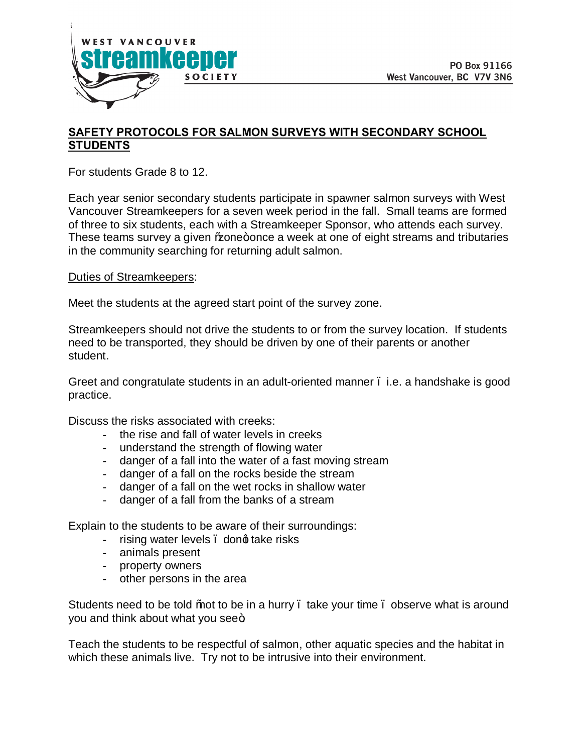

## **SAFETY PROTOCOLS FOR SALMON SURVEYS WITH SECONDARY SCHOOL STUDENTS**

For students Grade 8 to 12.

Each year senior secondary students participate in spawner salmon surveys with West Vancouver Streamkeepers for a seven week period in the fall. Small teams are formed of three to six students, each with a Streamkeeper Sponsor, who attends each survey. These teams survey a given \to \angle + once a week at one of eight streams and tributaries in the community searching for returning adult salmon.

## Duties of Streamkeepers:

Meet the students at the agreed start point of the survey zone.

Streamkeepers should not drive the students to or from the survey location. If students need to be transported, they should be driven by one of their parents or another student.

Greet and congratulate students in an adult-oriented manner . i.e. a handshake is good practice.

Discuss the risks associated with creeks:

- the rise and fall of water levels in creeks
- understand the strength of flowing water
- danger of a fall into the water of a fast moving stream
- danger of a fall on the rocks beside the stream
- danger of a fall on the wet rocks in shallow water
- danger of a fall from the banks of a stream

Explain to the students to be aware of their surroundings:

- rising water levels, dond take risks
- animals present
- property owners
- other persons in the area

Students need to be told % to be in a hurry . take your time . observe what is around you and think about what you see<sup>+</sup>.

Teach the students to be respectful of salmon, other aquatic species and the habitat in which these animals live. Try not to be intrusive into their environment.